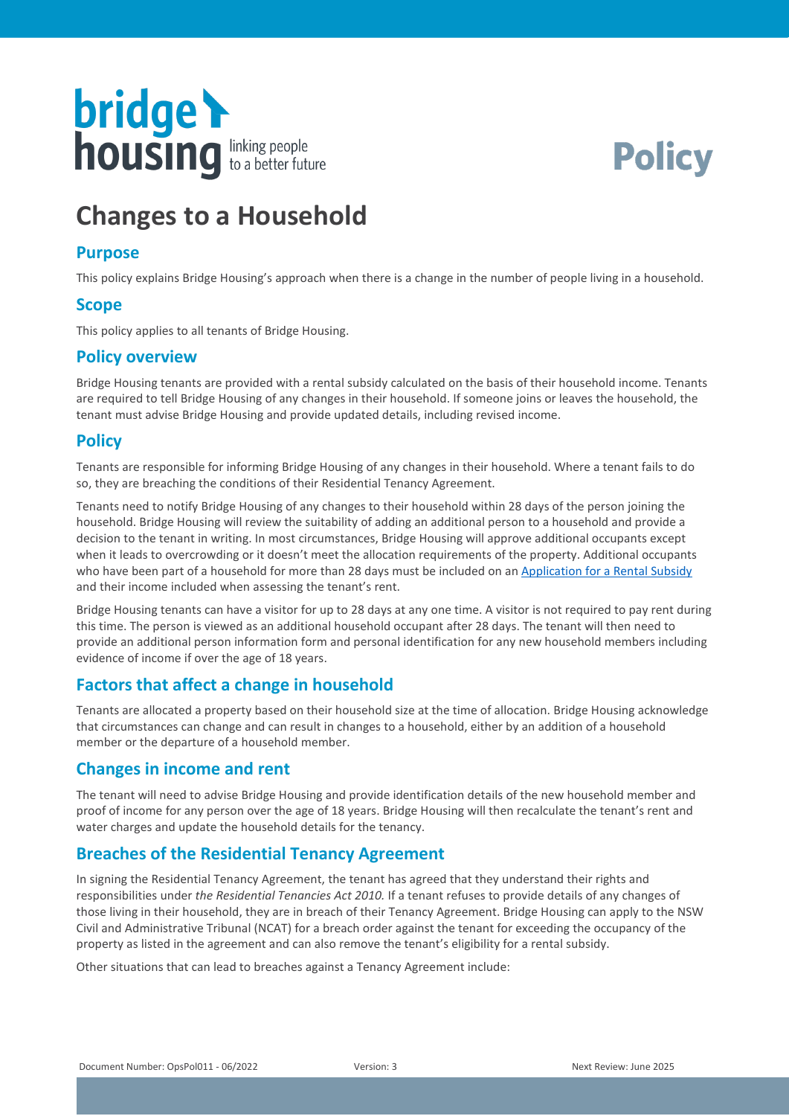



# **Changes to a Household**

#### **Purpose**

This policy explains Bridge Housing's approach when there is a change in the number of people living in a household.

#### **Scope**

This policy applies to all tenants of Bridge Housing.

### **Policy overview**

Bridge Housing tenants are provided with a rental subsidy calculated on the basis of their household income. Tenants are required to tell Bridge Housing of any changes in their household. If someone joins or leaves the household, the tenant must advise Bridge Housing and provide updated details, including revised income.

### **Policy**

Tenants are responsible for informing Bridge Housing of any changes in their household. Where a tenant fails to do so, they are breaching the conditions of their Residential Tenancy Agreement.

Tenants need to notify Bridge Housing of any changes to their household within 28 days of the person joining the household. Bridge Housing will review the suitability of adding an additional person to a household and provide a decision to the tenant in writing. In most circumstances, Bridge Housing will approve additional occupants except when it leads to overcrowding or it doesn't meet the allocation requirements of the property. Additional occupants who have been part of a household for more than 28 days must be included on an [Application for a Rental](https://bridgehousing.snapforms.com.au/form/application-for-rental-subsidy) Subsidy and their income included when assessing the tenant's rent.

Bridge Housing tenants can have a visitor for up to 28 days at any one time. A visitor is not required to pay rent during this time. The person is viewed as an additional household occupant after 28 days. The tenant will then need to provide an additional person information form and personal identification for any new household members including evidence of income if over the age of 18 years.

### **Factors that affect a change in household**

Tenants are allocated a property based on their household size at the time of allocation. Bridge Housing acknowledge that circumstances can change and can result in changes to a household, either by an addition of a household member or the departure of a household member.

### **Changes in income and rent**

The tenant will need to advise Bridge Housing and provide identification details of the new household member and proof of income for any person over the age of 18 years. Bridge Housing will then recalculate the tenant's rent and water charges and update the household details for the tenancy.

### **Breaches of the Residential Tenancy Agreement**

In signing the Residential Tenancy Agreement, the tenant has agreed that they understand their rights and responsibilities under *the Residential Tenancies Act 2010.* If a tenant refuses to provide details of any changes of those living in their household, they are in breach of their Tenancy Agreement. Bridge Housing can apply to the NSW Civil and Administrative Tribunal (NCAT) for a breach order against the tenant for exceeding the occupancy of the property as listed in the agreement and can also remove the tenant's eligibility for a rental subsidy.

Other situations that can lead to breaches against a Tenancy Agreement include: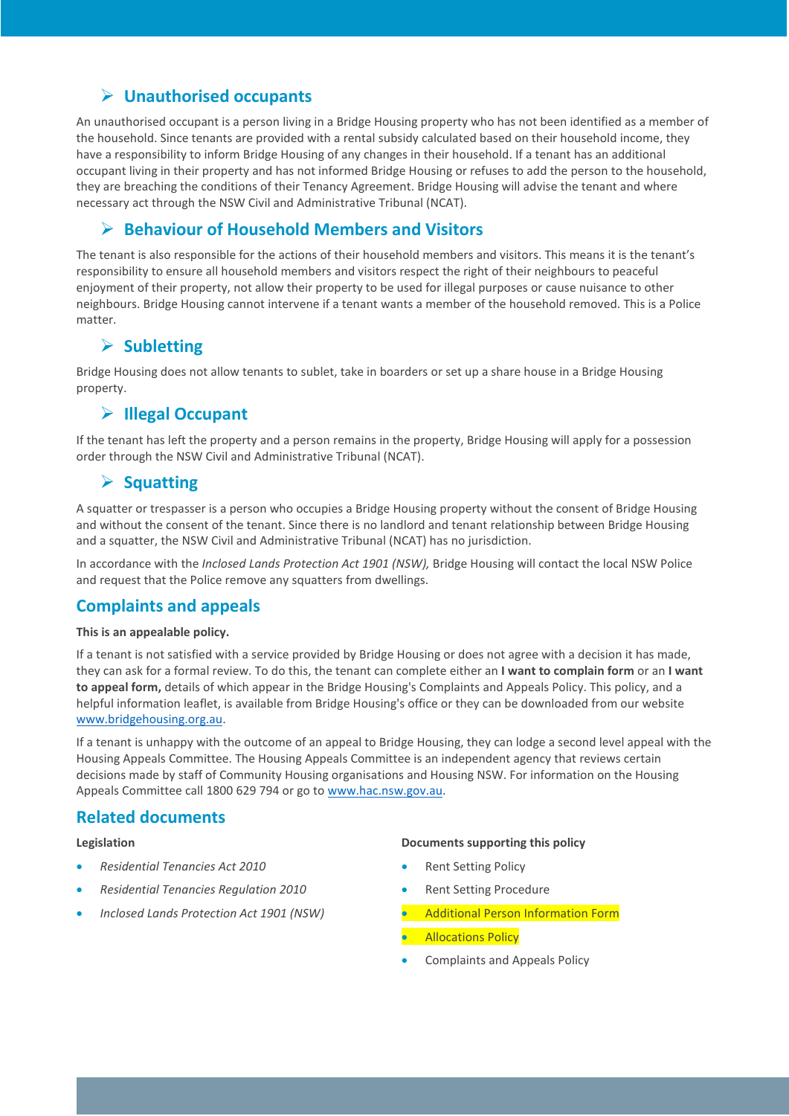## **Unauthorised occupants**

An unauthorised occupant is a person living in a Bridge Housing property who has not been identified as a member of the household. Since tenants are provided with a rental subsidy calculated based on their household income, they have a responsibility to inform Bridge Housing of any changes in their household. If a tenant has an additional occupant living in their property and has not informed Bridge Housing or refuses to add the person to the household, they are breaching the conditions of their Tenancy Agreement. Bridge Housing will advise the tenant and where necessary act through the NSW Civil and Administrative Tribunal (NCAT).

### **Behaviour of Household Members and Visitors**

The tenant is also responsible for the actions of their household members and visitors. This means it is the tenant's responsibility to ensure all household members and visitors respect the right of their neighbours to peaceful enjoyment of their property, not allow their property to be used for illegal purposes or cause nuisance to other neighbours. Bridge Housing cannot intervene if a tenant wants a member of the household removed. This is a Police matter.

### **Subletting**

Bridge Housing does not allow tenants to sublet, take in boarders or set up a share house in a Bridge Housing property.

### **Illegal Occupant**

If the tenant has left the property and a person remains in the property, Bridge Housing will apply for a possession order through the NSW Civil and Administrative Tribunal (NCAT).

### **▶ Squatting**

A squatter or trespasser is a person who occupies a Bridge Housing property without the consent of Bridge Housing and without the consent of the tenant. Since there is no landlord and tenant relationship between Bridge Housing and a squatter, the NSW Civil and Administrative Tribunal (NCAT) has no jurisdiction.

In accordance with the *Inclosed Lands Protection Act 1901 (NSW),* Bridge Housing will contact the local NSW Police and request that the Police remove any squatters from dwellings.

### **Complaints and appeals**

#### **This is an appealable policy.**

If a tenant is not satisfied with a service provided by Bridge Housing or does not agree with a decision it has made, they can ask for a formal review. To do this, the tenant can complete either an **I want to complain form** or an **I want to appeal form,** details of which appear in the Bridge Housing's Complaints and Appeals Policy. This policy, and a helpful information leaflet, is available from Bridge Housing's office or they can be downloaded from our website [www.bridgehousing.org.au.](http://www.bridgehousing.org.au/)

If a tenant is unhappy with the outcome of an appeal to Bridge Housing, they can lodge a second level appeal with the Housing Appeals Committee. The Housing Appeals Committee is an independent agency that reviews certain decisions made by staff of Community Housing organisations and Housing NSW. For information on the Housing Appeals Committee call 1800 629 794 or go t[o www.hac.nsw.gov.au.](http://www.hac.nsw.gov.au/)

### **Related documents**

#### **Legislation**

- *Residential Tenancies Act 2010*
- *Residential Tenancies Regulation 2010*
- *Inclosed Lands Protection Act 1901 (NSW)*

#### **Documents supporting this policy**

- **Rent Setting Policy**
- Rent Setting Procedure
- Additional Person Information Form
- Allocations Policy
- Complaints and Appeals Policy